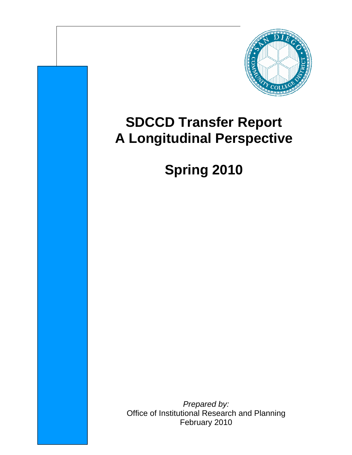

# **SDCCD Transfer Report A Longitudinal Perspective**

# **Spring 2010**

*Prepared by:*  Office of Institutional Research and Planning February 2010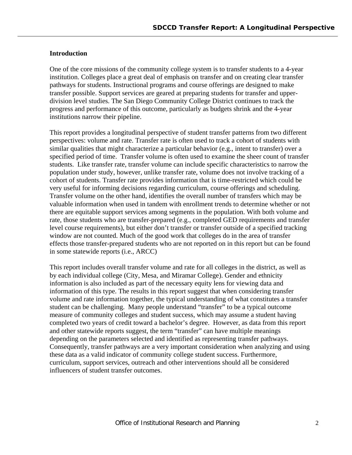# **Introduction**

One of the core missions of the community college system is to transfer students to a 4-year institution. Colleges place a great deal of emphasis on transfer and on creating clear transfer pathways for students. Instructional programs and course offerings are designed to make transfer possible. Support services are geared at preparing students for transfer and upperdivision level studies. The San Diego Community College District continues to track the progress and performance of this outcome, particularly as budgets shrink and the 4-year institutions narrow their pipeline.

This report provides a longitudinal perspective of student transfer patterns from two different perspectives: volume and rate. Transfer rate is often used to track a cohort of students with similar qualities that might characterize a particular behavior (e.g., intent to transfer) over a specified period of time. Transfer volume is often used to examine the sheer count of transfer students. Like transfer rate, transfer volume can include specific characteristics to narrow the population under study, however, unlike transfer rate, volume does not involve tracking of a cohort of students. Transfer rate provides information that is time-restricted which could be very useful for informing decisions regarding curriculum, course offerings and scheduling. Transfer volume on the other hand, identifies the overall number of transfers which may be valuable information when used in tandem with enrollment trends to determine whether or not there are equitable support services among segments in the population. With both volume and rate, those students who are transfer-prepared (e.g., completed GED requirements and transfer level course requirements), but either don't transfer or transfer outside of a specified tracking window are not counted. Much of the good work that colleges do in the area of transfer effects those transfer-prepared students who are not reported on in this report but can be found in some statewide reports (i.e., ARCC)

This report includes overall transfer volume and rate for all colleges in the district, as well as by each individual college (City, Mesa, and Miramar College). Gender and ethnicity information is also included as part of the necessary equity lens for viewing data and information of this type. The results in this report suggest that when considering transfer volume and rate information together, the typical understanding of what constitutes a transfer student can be challenging. Many people understand "transfer" to be a typical outcome measure of community colleges and student success, which may assume a student having completed two years of credit toward a bachelor's degree. However, as data from this report and other statewide reports suggest, the term "transfer" can have multiple meanings depending on the parameters selected and identified as representing transfer pathways. Consequently, transfer pathways are a very important consideration when analyzing and using these data as a valid indicator of community college student success. Furthermore, curriculum, support services, outreach and other interventions should all be considered influencers of student transfer outcomes.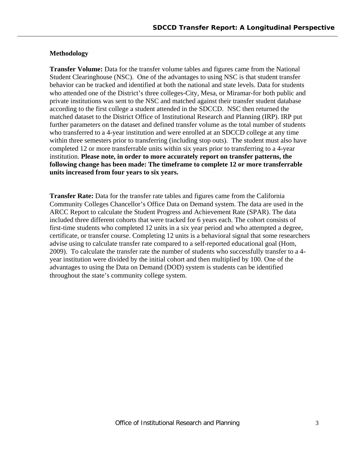# **Methodology**

**Transfer Volume:** Data for the transfer volume tables and figures came from the National Student Clearinghouse (NSC). One of the advantages to using NSC is that student transfer behavior can be tracked and identified at both the national and state levels. Data for students who attended one of the District's three colleges-City, Mesa, or Miramar-for both public and private institutions was sent to the NSC and matched against their transfer student database according to the first college a student attended in the SDCCD. NSC then returned the matched dataset to the District Office of Institutional Research and Planning (IRP). IRP put further parameters on the dataset and defined transfer volume as the total number of students who transferred to a 4-year institution and were enrolled at an SDCCD college at any time within three semesters prior to transferring (including stop outs). The student must also have completed 12 or more transferrable units within six years prior to transferring to a 4-year institution. **Please note, in order to more accurately report on transfer patterns, the following change has been made: The timeframe to complete 12 or more transferrable units increased from four years to six years.**

**Transfer Rate:** Data for the transfer rate tables and figures came from the California Community Colleges Chancellor's Office Data on Demand system. The data are used in the ARCC Report to calculate the Student Progress and Achievement Rate (SPAR). The data included three different cohorts that were tracked for 6 years each. The cohort consists of first-time students who completed 12 units in a six year period and who attempted a degree, certificate, or transfer course. Completing 12 units is a behavioral signal that some researchers advise using to calculate transfer rate compared to a self-reported educational goal (Hom, 2009). To calculate the transfer rate the number of students who successfully transfer to a 4 year institution were divided by the initial cohort and then multiplied by 100. One of the advantages to using the Data on Demand (DOD) system is students can be identified throughout the state's community college system.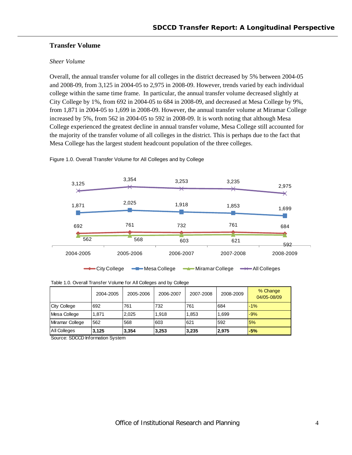# **Transfer Volume**

#### *Sheer Volume*

Overall, the annual transfer volume for all colleges in the district decreased by 5% between 2004-05 and 2008-09, from 3,125 in 2004-05 to 2,975 in 2008-09. However, trends varied by each individual college within the same time frame. In particular, the annual transfer volume decreased slightly at City College by 1%, from 692 in 2004-05 to 684 in 2008-09, and decreased at Mesa College by 9%, from 1,871 in 2004-05 to 1,699 in 2008-09. However, the annual transfer volume at Miramar College increased by 5%, from 562 in 2004-05 to 592 in 2008-09. It is worth noting that although Mesa College experienced the greatest decline in annual transfer volume, Mesa College still accounted for the majority of the transfer volume of all colleges in the district. This is perhaps due to the fact that Mesa College has the largest student headcount population of the three colleges.



Figure 1.0. Overall Transfer Volume for All Colleges and by College

| Table 1.0. Overall Transfer Volume for All Colleges and by College |  |
|--------------------------------------------------------------------|--|
|--------------------------------------------------------------------|--|

|                     | 2004-2005 | 2005-2006 | 2006-2007 | 2007-2008 | 2008-2009 | % Change<br>04/05-08/09 |
|---------------------|-----------|-----------|-----------|-----------|-----------|-------------------------|
| <b>City College</b> | 692       | 761       | 732       | 761       | 684       | $-1\%$                  |
| Mesa College        | 1.871     | 2.025     | 1.918     | 1,853     | 1,699     | $-9%$                   |
| Miramar College     | 562       | 568       | 603       | 621       | 592       | 5%                      |
| All Colleges        | 3,125     | 3,354     | 3,253     | 3,235     | 2.975     | $-5%$                   |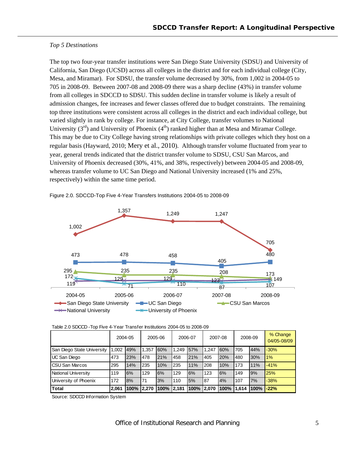#### *Top 5 Destinations*

The top two four-year transfer institutions were San Diego State University (SDSU) and University of California, San Diego (UCSD) across all colleges in the district and for each individual college (City, Mesa, and Miramar). For SDSU, the transfer volume decreased by 30%, from 1,002 in 2004-05 to 705 in 2008-09. Between 2007-08 and 2008-09 there was a sharp decline (43%) in transfer volume from all colleges in SDCCD to SDSU. This sudden decline in transfer volume is likely a result of admission changes, fee increases and fewer classes offered due to budget constraints. The remaining top three institutions were consistent across all colleges in the district and each individual college, but varied slightly in rank by college. For instance, at City College, transfer volumes to National University  $(3<sup>rd</sup>)$  and University of Phoenix  $(4<sup>th</sup>)$  ranked higher than at Mesa and Miramar College. This may be due to City College having strong relationships with private colleges which they host on a regular basis (Hayward, 2010; Mery et al., 2010). Although transfer volume fluctuated from year to year, general trends indicated that the district transfer volume to SDSU, CSU San Marcos, and University of Phoenix decreased (30%, 41%, and 38%, respectively) between 2004-05 and 2008-09, whereas transfer volume to UC San Diego and National University increased (1% and 25%, respectively) within the same time period.



Figure 2.0. SDCCD-Top Five 4-Year Transfers Institutions 2004-05 to 2008-09

|                            |       | 2004-05 |       | 2005-06 |       | 2006-07 |       | 2007-08 |       | 2008-09 | % Change<br>04/05-08/09 |
|----------------------------|-------|---------|-------|---------|-------|---------|-------|---------|-------|---------|-------------------------|
| San Diego State University | 1.002 | 49%     | 1.357 | 60%     | 1.249 | 57%     | 1.247 | 60%     | 705   | 44%     | $-30%$                  |
| <b>UC San Diego</b>        | 473   | 23%     | 478   | 21%     | 458   | 21%     | 405   | 20%     | 480   | 30%     | 1%                      |
| <b>CSU San Marcos</b>      | 295   | 14%     | 235   | 10%     | 235   | 11%     | 208   | 10%     | 173   | 11%     | $-41%$                  |
| National University        | 119   | 6%      | 129   | 6%      | 129   | 6%      | 123   | 6%      | 149   | 9%      | 25%                     |
| University of Phoenix      | 172   | 8%      | 71    | 3%      | 110   | 5%      | 87    | 4%      | 107   | 7%      | $-38%$                  |
| <b>Total</b>               | 2,061 | 100%    | 2.270 | 100%    | 2.181 | 100%    | 2.070 | 100%    | 1.614 | 100%    | $-22%$                  |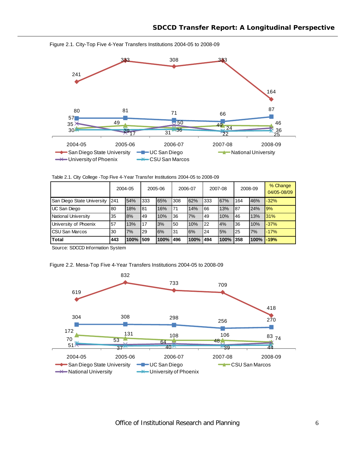

Figure 2.1. City-Top Five 4-Year Transfers Institutions 2004-05 to 2008-09

Table 2.1. City College -Top Five 4-Year Transfer Institutions 2004-05 to 2008-09

|                            |     | 2004-05 |      | 2005-06 |     | 2006-07 |     | 2007-08 |     | 2008-09 | % Change<br>04/05-08/09 |
|----------------------------|-----|---------|------|---------|-----|---------|-----|---------|-----|---------|-------------------------|
| San Diego State University | 241 | 54%     | 333  | 65%     | 308 | 62%     | 333 | 67%     | 164 | 46%     | $-32%$                  |
| UC San Diego               | 80  | 18%     | 81   | 16%     | 71  | 14%     | 66  | 13%     | 87  | 24%     | <b>19%</b>              |
| National University        | 35  | 8%      | 49   | 10%     | 36  | 7%      | 49  | 10%     | 46  | 13%     | 31%                     |
| University of Phoenix      | 57  | 13%     | 17   | 3%      | 50  | 10%     | 22  | 4%      | 36  | 10%     | $-37%$                  |
| <b>CSU San Marcos</b>      | 30  | 7%      | 29   | 6%      | 31  | 6%      | 24  | 5%      | 25  | 7%      | $-17%$                  |
| <b>Total</b>               | 443 | 100%    | 1509 | 100%    | 496 | 100%    | 494 | 100%    | 358 | 100%    | $-19%$                  |

Source: SDCCD Information System

Figure 2.2. Mesa-Top Five 4-Year Transfers Institutions 2004-05 to 2008-09

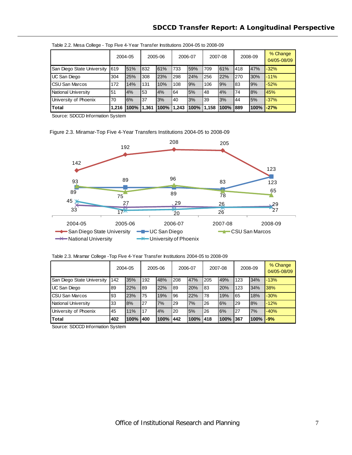|                            |       | 2004-05<br>2005-06 |       | 2006-07 |       | 2007-08 |       | 2008-09  |     | % Change<br>04/05-08/09 |        |
|----------------------------|-------|--------------------|-------|---------|-------|---------|-------|----------|-----|-------------------------|--------|
| San Diego State University | 619   | 51%                | 832   | 61%     | 733   | 59%     | 709   | 61%      | 418 | 47%                     | $-32%$ |
| UC San Diego               | 304   | 25%                | 308   | 23%     | 298   | 24%     | 256   | 22%      | 270 | 30%                     | $-11%$ |
| <b>CSU San Marcos</b>      | 172   | 14%                | 131   | 10%     | 108   | 9%      | 106   | 9%       | 83  | 9%                      | $-52%$ |
| National University        | 51    | 4%                 | 53    | 4%      | 64    | 5%      | 48    | 4%       | 74  | 8%                      | 45%    |
| University of Phoenix      | 70    | 6%                 | 37    | 3%      | 40    | 3%      | 39    | 3%       | 44  | 5%                      | $-37%$ |
| <b>Total</b>               | 1.216 | 100%               | 1,361 | 100%    | 1.243 | 100%    | 1,158 | 100% 889 |     | 100%                    | $-27%$ |

| Table 2.2. Mesa College - Top Five 4-Year Transfer Institutions 2004-05 to 2008-09 |  |  |
|------------------------------------------------------------------------------------|--|--|
|                                                                                    |  |  |

Source: SDCCD Information System

Figure 2.3. Miramar-Top Five 4-Year Transfers Institutions 2004-05 to 2008-09



Table 2.3. Miramar College -Top Five 4-Year Transfer Institutions 2004-05 to 2008-09

|                            |     | 2004-05 |     | 2005-06 | 2006-07 |      |     | 2007-08 |     | 2008-09 | % Change<br>04/05-08/09 |
|----------------------------|-----|---------|-----|---------|---------|------|-----|---------|-----|---------|-------------------------|
| San Diego State University | 142 | 35%     | 192 | 48%     | 208     | 47%  | 205 | 49%     | 123 | 34%     | $-13%$                  |
| UC San Diego               | 89  | 22%     | 89  | 22%     | 89      | 20%  | 83  | 20%     | 123 | 34%     | 38%                     |
| <b>CSU San Marcos</b>      | 93  | 23%     | 75  | 19%     | 96      | 22%  | 78  | 19%     | 65  | 18%     | $-30%$                  |
| National University        | 33  | 8%      | 27  | 7%      | 29      | 7%   | 26  | 6%      | 29  | 8%      | $-12%$                  |
| University of Phoenix      | 45  | 11%     | 17  | 4%      | 20      | 5%   | 26  | 6%      | 27  | 7%      | $-40%$                  |
| <b>Total</b>               | 402 | 100%    | 400 | 100%    | 442     | 100% | 418 | 100%    | 367 | 100%    | $-9%$                   |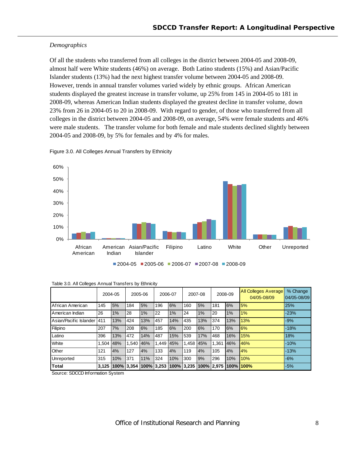# *Demographics*

Of all the students who transferred from all colleges in the district between 2004-05 and 2008-09, almost half were White students (46%) on average. Both Latino students (15%) and Asian/Pacific Islander students (13%) had the next highest transfer volume between 2004-05 and 2008-09. However, trends in annual transfer volumes varied widely by ethnic groups. African American students displayed the greatest increase in transfer volume, up 25% from 145 in 2004-05 to 181 in 2008-09, whereas American Indian students displayed the greatest decline in transfer volume, down 23% from 26 in 2004-05 to 20 in 2008-09. With regard to gender, of those who transferred from all colleges in the district between 2004-05 and 2008-09, on average, 54% were female students and 46% were male students. The transfer volume for both female and male students declined slightly between 2004-05 and 2008-09, by 5% for females and by 4% for males.

Figure 3.0. All Colleges Annual Transfers by Ethnicity



| $12004-05$ 2005-06 2006-07 2007-08 2008-09 |
|--------------------------------------------|
|--------------------------------------------|

|                        |            | 2004-05 |            | 2005-06               |       | 2006-07 |           | 2007-08    |       | 2008-09 | <b>All Colleges Average</b><br>04/05-08/09 | % Change<br>04/05-08/09 |
|------------------------|------------|---------|------------|-----------------------|-------|---------|-----------|------------|-------|---------|--------------------------------------------|-------------------------|
| African American       | 145        | 5%      | 184        | 5%                    | 196   | 6%      | 160       | 5%         | 181   | 6%      | 5%                                         | 25%                     |
| American Indian        | 26         | 1%      | 28         | 1%                    | 22    | $1\%$   | 24        | 1%         | 20    | 1%      | 1%                                         | $-23%$                  |
| Asian/Pacific Islander | <b>411</b> | 13%     | 424        | 13%                   | 457   | 14%     | 435       | 13%        | 374   | 13%     | 13%                                        | $-9%$                   |
| Filipino               | 207        | 7%      | 208        | 6%                    | 185   | 6%      | 200       | 6%         | 170   | 6%      | 6%                                         | $-18%$                  |
| Latino                 | 396        | 13%     | 472        | 14%                   | 487   | 15%     | 539       | 17%        | 468   | 16%     | 15%                                        | 18%                     |
| White                  | 1.504      | 48%     | 1.540      | 46%                   | 1.449 | 45%     | 1.458 45% |            | 1.361 | 46%     | 46%                                        | $-10%$                  |
| Other                  | 121        | 4%      | 127        | 4%                    | 133   | 4%      | 119       | 4%         | 105   | 4%      | 4%                                         | $-13%$                  |
| Unreported             | 315        | 10%     | 371        | 11%                   | 324   | 10%     | 300       | 9%         | 296   | 10%     | 10%                                        | $-6%$                   |
| Total                  | 3.125      |         | 100% 3.354 | 100% 3.253 100% 3.235 |       |         |           | 100% 2.975 |       | 100%    | 100%                                       | $-5%$                   |

| Table 3.0. All Colleges Annual Transfers by Ethnicity |  |  |  |  |
|-------------------------------------------------------|--|--|--|--|
|-------------------------------------------------------|--|--|--|--|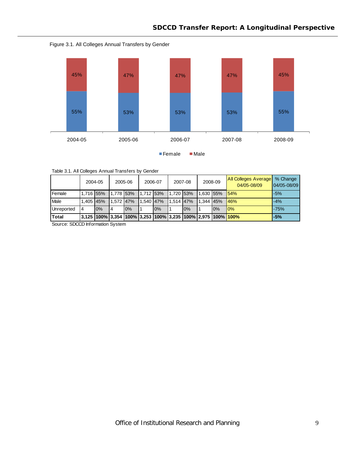



| Table 3.1. All Colleges Annual Transfers by Gender |  |  |
|----------------------------------------------------|--|--|

|              |                | 2004-05 |           | 2005-06 |           | 2006-07                                                                                   |             | 2007-08 |           | 2008-09 | <b>All Colleges Average</b><br>04/05-08/09 | % Change<br>$04/05 - 08/09$ |
|--------------|----------------|---------|-----------|---------|-----------|-------------------------------------------------------------------------------------------|-------------|---------|-----------|---------|--------------------------------------------|-----------------------------|
| Female       | 1.716 55%      |         | 1.778 53% |         |           | 1.712 53%                                                                                 | $1,720$ 53% |         | 1.630 55% |         | 154%                                       | $-5%$                       |
| Male         | 1.405 45%      |         | 1.572 47% |         | 1.540 47% |                                                                                           | $1.514$ 47% |         | 1.344 45% |         | 146%                                       | $-4%$                       |
| Unreported   | $\overline{4}$ | 0%      | 4         | 10%     |           | 0%                                                                                        |             | 0%      |           | 0%      | 10%                                        | $-75%$                      |
| <b>Total</b> |                |         |           |         |           | <u>3,125  100%  3,354  100%  3,253  100%  3,235  100%  2,975  100% <mark> 100%</mark></u> |             |         |           |         |                                            | $-5%$                       |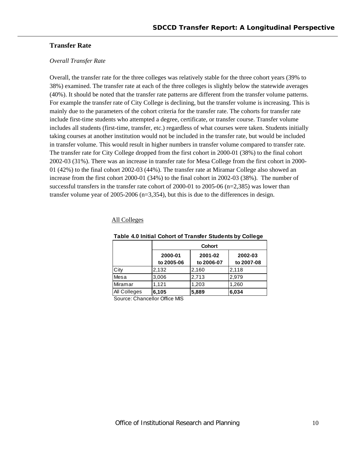# **Transfer Rate**

#### *Overall Transfer Rate*

Overall, the transfer rate for the three colleges was relatively stable for the three cohort years (39% to 38%) examined. The transfer rate at each of the three colleges is slightly below the statewide averages (40%). It should be noted that the transfer rate patterns are different from the transfer volume patterns. For example the transfer rate of City College is declining, but the transfer volume is increasing. This is mainly due to the parameters of the cohort criteria for the transfer rate. The cohorts for transfer rate include first-time students who attempted a degree, certificate, or transfer course. Transfer volume includes all students (first-time, transfer, etc.) regardless of what courses were taken. Students initially taking courses at another institution would not be included in the transfer rate, but would be included in transfer volume. This would result in higher numbers in transfer volume compared to transfer rate. The transfer rate for City College dropped from the first cohort in 2000-01 (38%) to the final cohort 2002-03 (31%). There was an increase in transfer rate for Mesa College from the first cohort in 2000- 01 (42%) to the final cohort 2002-03 (44%). The transfer rate at Miramar College also showed an increase from the first cohort 2000-01 (34%) to the final cohort in 2002-03 (38%). The number of successful transfers in the transfer rate cohort of 2000-01 to 2005-06 (n=2,385) was lower than transfer volume year of 2005-2006 (n=3,354), but this is due to the differences in design.

#### All Colleges

|                              |                       | <b>Cohort</b>         |                       |  |  |  |  |  |  |
|------------------------------|-----------------------|-----------------------|-----------------------|--|--|--|--|--|--|
|                              | 2000-01<br>to 2005-06 | 2001-02<br>to 2006-07 | 2002-03<br>to 2007-08 |  |  |  |  |  |  |
| City                         | 2,132                 | 2,160                 | 2,118                 |  |  |  |  |  |  |
| Mesa                         | 3,006                 | 2,713                 | 2,979                 |  |  |  |  |  |  |
| Miramar                      | 1.121                 | 1,203                 | 1,260                 |  |  |  |  |  |  |
| All Colleges                 | 6,105                 | 5,889                 | 6,034                 |  |  |  |  |  |  |
| Course Changeller Office MIC |                       |                       |                       |  |  |  |  |  |  |

#### **Table 4.0 Initial Cohort of Transfer Students by College**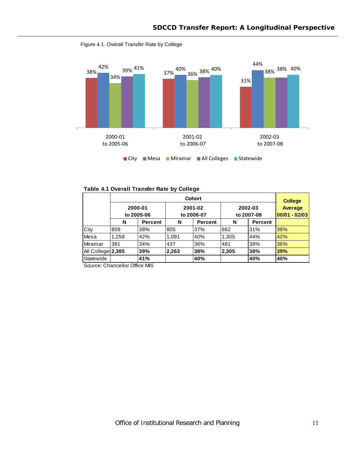

Figure 4.1. Overall Transfer Rate by College

|                                 | <b>Cohort</b>         |                  |                       |         |                       |                |                                                |  |
|---------------------------------|-----------------------|------------------|-----------------------|---------|-----------------------|----------------|------------------------------------------------|--|
|                                 | 2000-01<br>to 2005-06 |                  | 2001-02<br>to 2006-07 |         | 2002-03<br>to 2007-08 |                | <b>College</b><br>Average<br>$ 00/01 - 02/03 $ |  |
|                                 | N                     | <b>Percent</b>   | N                     | Percent | N                     | <b>Percent</b> |                                                |  |
| City                            | 809                   | 38%              | 805                   | 37%     | 662                   | 31%            | 36%                                            |  |
| Mesa                            | .258                  | 42%              | 1,091                 | 40%     | 1,305                 | 44%            | 42%                                            |  |
| Miramar                         | 381                   | 34%              | 437                   | 36%     | 481                   | 38%            | 36%                                            |  |
| All College 2,385               |                       | 39%              | 2,263                 | 38%     | 2,305                 | 38%            | 39%                                            |  |
| Statewide<br>$\sim$<br>$\sim$ . | $\sim$<br>. .         | 41%<br>$\ddotsc$ |                       | 40%     |                       | 40%            | 40%                                            |  |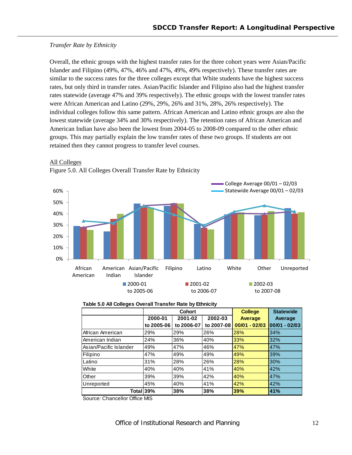# *Transfer Rate by Ethnicity*

Overall, the ethnic groups with the highest transfer rates for the three cohort years were Asian/Pacific Islander and Filipino (49%, 47%, 46% and 47%, 49%, 49% respectively). These transfer rates are similar to the success rates for the three colleges except that White students have the highest success rates, but only third in transfer rates. Asian/Pacific Islander and Filipino also had the highest transfer rates statewide (average 47% and 39% respectively). The ethnic groups with the lowest transfer rates were African American and Latino (29%, 29%, 26% and 31%, 28%, 26% respectively). The individual colleges follow this same pattern. African American and Latino ethnic groups are also the lowest statewide (average 34% and 30% respectively). The retention rates of African American and American Indian have also been the lowest from 2004-05 to 2008-09 compared to the other ethnic groups. This may partially explain the low transfer rates of these two groups. If students are not retained then they cannot progress to transfer level courses.







| Table 5.0 All Colleges Overall Transfer Rate by Ethnicity |  |
|-----------------------------------------------------------|--|
|-----------------------------------------------------------|--|

|                        |            | <b>Cohort</b> | <b>College</b> | <b>Statewide</b> |                  |
|------------------------|------------|---------------|----------------|------------------|------------------|
|                        | 2000-01    | 2001-02       | 2002-03        | <b>Average</b>   | Average          |
|                        | to 2005-06 | to 2006-07    | to 2007-08     | $00/01 - 02/03$  | $ 00/01 - 02/03$ |
| African American       | 29%        | 29%           | 26%            | 28%              | 34%              |
| American Indian        | 24%        | 36%           | 40%            | 33%              | 32%              |
| Asian/Pacific Islander | 49%        | 47%           | 46%            | 47%              | 47%              |
| Filipino               | 47%        | 49%           | 49%            | 49%              | 39%              |
| Latino                 | 31%        | 28%           | 26%            | 28%              | 30%              |
| White                  | 40%        | 40%           | 41%            | 40%              | 42%              |
| Other                  | 39%        | 39%           | 42%            | 40%              | 47%              |
| Unreported             | 45%        | 40%           | 41%            | 42%              | 42%              |
| Total 39%              |            | 38%           | 38%            | 39%              | 41%              |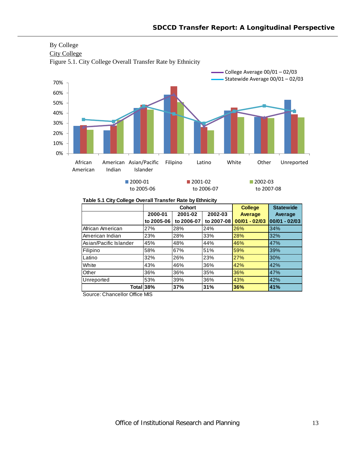

By College

**Table 5.1 City College Overall Transfer Rate by Ethnicity**

|                        |            | Cohort     | <b>College</b> | <b>Statewide</b> |                 |
|------------------------|------------|------------|----------------|------------------|-----------------|
|                        | 2000-01    | 2001-02    | 2002-03        | Average          | Average         |
|                        | to 2005-06 | to 2006-07 | to 2007-08     | $00/01 - 02/03$  | $00/01 - 02/03$ |
| African American       | 27%        | 28%        | 24%            | 26%              | 34%             |
| American Indian        | 23%        | 28%        | 33%            | 28%              | 32%             |
| Asian/Pacific Islander | 45%        | 48%        | 44%            | 46%              | 47%             |
| Filipino               | 58%        | 67%        | 51%            | 59%              | 39%             |
| Latino                 | 32%        | 26%        | 23%            | 27%              | 30%             |
| White                  | 43%        | 46%        | 36%            | 42%              | 42%             |
| Other                  | 36%        | 36%        | 35%            | 36%              | 47%             |
| Unreported             | 53%        | 39%        | 36%            | 43%              | 42%             |
| Total <sub>38</sub> %  |            | 37%        | 31%            | 36%              | 41%             |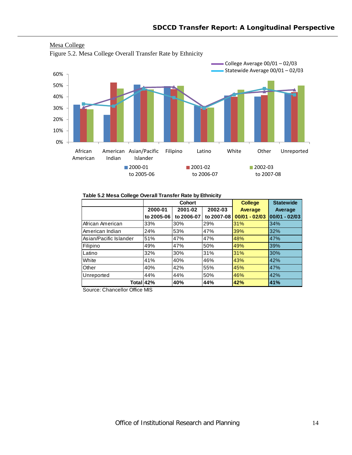



#### **Table 5.2 Mesa College Overall Transfer Rate by Ethnicity**

|                        |            | Cohort     | <b>College</b> | <b>Statewide</b> |                 |
|------------------------|------------|------------|----------------|------------------|-----------------|
|                        | 2000-01    | 2001-02    | 2002-03        | Average          | Average         |
|                        | to 2005-06 | to 2006-07 | to 2007-08     | $00/01 - 02/03$  | $00/01 - 02/03$ |
| African American       | 33%        | 30%        | 29%            | 31%              | 34%             |
| American Indian        | 24%        | 53%        | 47%            | 39%              | 32%             |
| Asian/Pacific Islander | 51%        | 47%        | 47%            | 48%              | 47%             |
| Filipino               | 49%        | 47%        | 50%            | 49%              | 39%             |
| Latino                 | 32%        | 30%        | 31%            | 31%              | 30%             |
| White                  | 41%        | 40%        | 46%            | 43%              | 42%             |
| Other                  | 40%        | 42%        | 55%            | 45%              | 47%             |
| Unreported             | 44%        | 44%        | 50%            | 46%              | 42%             |
| Total 42%              |            | 40%        | 44%            | 42%              | 41%             |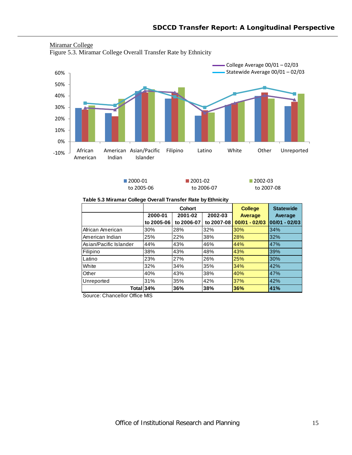

# Miramar College

Figure 5.3. Miramar College Overall Transfer Rate by Ethnicity

■2000-01 to 2005‐06 ■2001-02 to 2006‐07 ■2002-03 to 2007‐08

#### **Table 5.3 Miramar College Overall Transfer Rate by Ethnicity**

|                          |            | <b>Cohort</b> | <b>College</b> | <b>Statewide</b> |                 |
|--------------------------|------------|---------------|----------------|------------------|-----------------|
|                          | 2000-01    | 2001-02       | 2002-03        | <b>Average</b>   | Average         |
|                          | to 2005-06 | to 2006-07    | to 2007-08     | $00/01 - 02/03$  | $00/01 - 02/03$ |
| African American         | 30%        | 28%           | 32%            | 30%              | 34%             |
| l American Indian        | 25%        | 22%           | 38%            | 28%              | 32%             |
| l Asian/Pacific Islander | 44%        | 43%           | 46%            | 44%              | 47%             |
| Filipino                 | 38%        | 43%           | 48%            | 43%              | 39%             |
| Latino                   | 23%        | 27%           | 26%            | 25%              | 30%             |
| White                    | 32%        | 34%           | 35%            | 34%              | 42%             |
| Other                    | 40%        | 43%           | 38%            | 40%              | 47%             |
| Unreported               | 31%        | 35%           | 42%            | 37%              | 42%             |
| Total 34%                |            | 36%           | 38%            | 36%              | 41%             |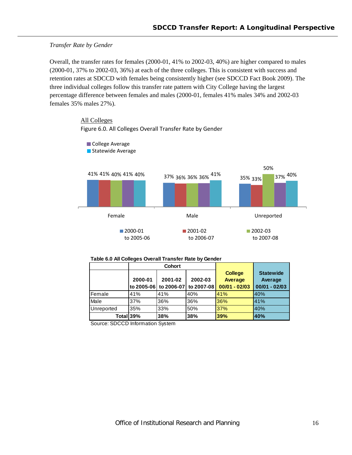#### *Transfer Rate by Gender*

Overall, the transfer rates for females (2000-01, 41% to 2002-03, 40%) are higher compared to males (2000-01, 37% to 2002-03, 36%) at each of the three colleges. This is consistent with success and retention rates at SDCCD with females being consistently higher (see SDCCD Fact Book 2009). The three individual colleges follow this transfer rate pattern with City College having the largest percentage difference between females and males (2000-01, females 41% males 34% and 2002-03 females 35% males 27%).



41% 37% 35% 41% 36% 33% 40% 36% 41% 36% 37% 40% 41% 40% 50%<br>37% 40% Female **Male** Male **Unreported** ■2000-01 to 2005‐06 ■2001-02 to 2006‐07 ■2002-03 to 2007‐08 College Average Statewide Average

Figure 6.0. All Colleges Overall Transfer Rate by Gender

|            |         | Cohort                |            |                 |                  |
|------------|---------|-----------------------|------------|-----------------|------------------|
|            |         |                       |            | <b>College</b>  | <b>Statewide</b> |
|            | 2000-01 | 2001-02               | 2002-03    | Average         | Average          |
|            |         | to 2005-06 to 2006-07 | to 2007-08 | $00/01 - 02/03$ | $00/01 - 02/03$  |
| Female     | 41%     | 41%                   | 40%        | 41%             | 40%              |
| Male       | 37%     | 36%                   | 36%        | 36%             | 41%              |
| Unreported | 35%     | 33%                   | 50%        | 37%             | 40%              |
| Total 39%  |         | 38%                   | 38%        | 39%             | 40%              |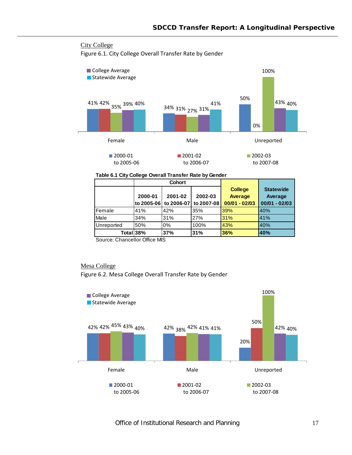# City College

Figure 6.1. City College Overall Transfer Rate by Gender



#### **Table 6.1 City College Overall Transfer Rate by Gender**

|            |            | <b>Cohort</b> |                |                  |                 |
|------------|------------|---------------|----------------|------------------|-----------------|
|            |            |               | <b>College</b> | <b>Statewide</b> |                 |
|            | 2000-01    | 2001-02       | 2002-03        | <b>Average</b>   | Average         |
|            | to 2005-06 | to 2006-07    | to 2007-08     | $00/01 - 02/03$  | $00/01 - 02/03$ |
| Female     | 41%        | 42%           | 35%            | 39%              | 40%             |
| Male       | 34%        | 31%           | 27%            | 31%              | 41%             |
| Unreported | 50%        | 0%            | 100%           | 43%              | 40%             |
|            | Totall38%  | 37%           | 31%            | 36%              | 40%             |

Source: Chancellor Office MIS

### Mesa College

Figure 6.2. Mesa College Overall Transfer Rate by Gender

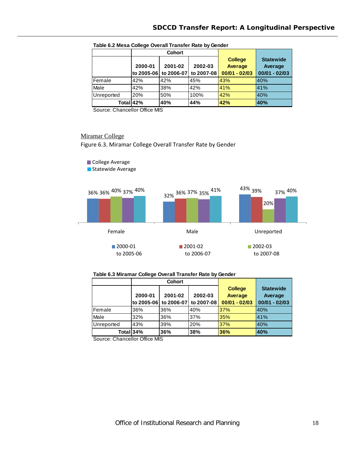|            | <b>Cohort</b> |                       |            |                 |                  |
|------------|---------------|-----------------------|------------|-----------------|------------------|
|            |               |                       |            | <b>College</b>  | <b>Statewide</b> |
|            | 2000-01       | 2001-02               | 2002-03    | <b>Average</b>  | Average          |
|            |               | to 2005-06 to 2006-07 | to 2007-08 | $00/01 - 02/03$ | $00/01 - 02/03$  |
| Female     | 42%           | 42%                   | 45%        | 43%             | 40%              |
| Male       | 42%           | 38%                   | 42%        | 41%             | 41%              |
| Unreported | 20%           | 50%                   | 100%       | 42%             | 40%              |
|            | Total 42%     | 40%                   | 44%        | 42%             | 40%              |

#### **Table 6.2 Mesa College Overall Transfer Rate by Gender**

Source: Chancellor Office MIS

#### Miramar College

Figure 6.3. Miramar College Overall Transfer Rate by Gender



## **Table 6.3 Miramar College Overall Transfer Rate by Gender**

|            | <b>Cohort</b> |            |            |                 |                  |
|------------|---------------|------------|------------|-----------------|------------------|
|            |               |            |            | <b>College</b>  | <b>Statewide</b> |
|            | 2000-01       | 2001-02    | 2002-03    | <b>Average</b>  | Average          |
|            | to 2005-06    | to 2006-07 | to 2007-08 | $00/01 - 02/03$ | $00/01 - 02/03$  |
| Female     | 36%           | 36%        | 40%        | 37%             | 40%              |
| Male       | 32%           | 36%        | 37%        | 35%             | 41%              |
| Unreported | 43%           | 39%        | 20%        | 37%             | 40%              |
|            | Total 34%     | 36%        | 38%        | 36%             | 40%              |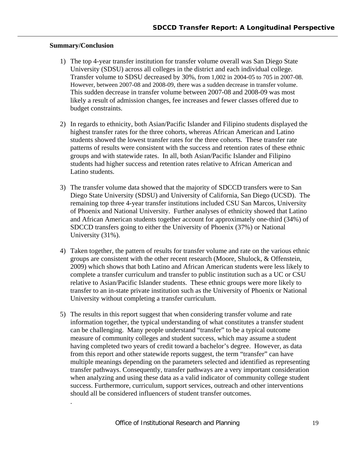# **Summary/Conclusion**

.

- 1) The top 4-year transfer institution for transfer volume overall was San Diego State University (SDSU) across all colleges in the district and each individual college. Transfer volume to SDSU decreased by 30%, from 1,002 in 2004-05 to 705 in 2007-08. However, between 2007-08 and 2008-09, there was a sudden decrease in transfer volume. This sudden decrease in transfer volume between 2007-08 and 2008-09 was most likely a result of admission changes, fee increases and fewer classes offered due to budget constraints.
- 2) In regards to ethnicity, both Asian/Pacific Islander and Filipino students displayed the highest transfer rates for the three cohorts, whereas African American and Latino students showed the lowest transfer rates for the three cohorts. These transfer rate patterns of results were consistent with the success and retention rates of these ethnic groups and with statewide rates. In all, both Asian/Pacific Islander and Filipino students had higher success and retention rates relative to African American and Latino students.
- 3) The transfer volume data showed that the majority of SDCCD transfers were to San Diego State University (SDSU) and University of California, San Diego (UCSD). The remaining top three 4-year transfer institutions included CSU San Marcos, University of Phoenix and National University. Further analyses of ethnicity showed that Latino and African American students together account for approximately one-third (34%) of SDCCD transfers going to either the University of Phoenix (37%) or National University (31%).
- 4) Taken together, the pattern of results for transfer volume and rate on the various ethnic groups are consistent with the other recent research (Moore, Shulock, & Offenstein, 2009) which shows that both Latino and African American students were less likely to complete a transfer curriculum and transfer to public institution such as a UC or CSU relative to Asian/Pacific Islander students. These ethnic groups were more likely to transfer to an in-state private institution such as the University of Phoenix or National University without completing a transfer curriculum.
- 5) The results in this report suggest that when considering transfer volume and rate information together, the typical understanding of what constitutes a transfer student can be challenging. Many people understand "transfer" to be a typical outcome measure of community colleges and student success, which may assume a student having completed two years of credit toward a bachelor's degree. However, as data from this report and other statewide reports suggest, the term "transfer" can have multiple meanings depending on the parameters selected and identified as representing transfer pathways. Consequently, transfer pathways are a very important consideration when analyzing and using these data as a valid indicator of community college student success. Furthermore, curriculum, support services, outreach and other interventions should all be considered influencers of student transfer outcomes.